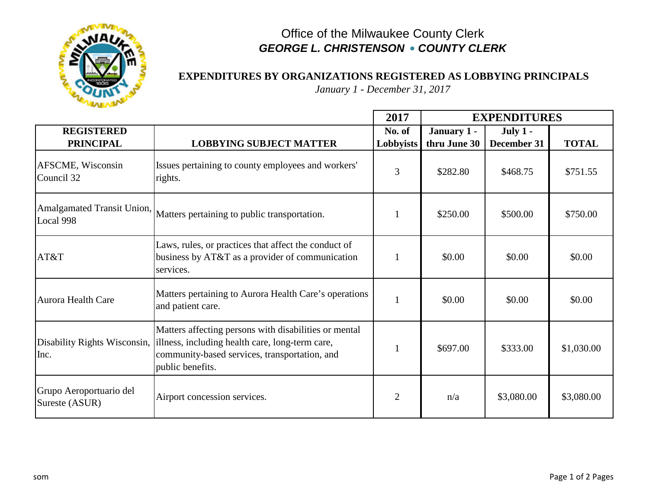

## Office of the Milwaukee County Clerk *GEORGE L. CHRISTENSON* **•** *COUNTY CLERK*

## **EXPENDITURES BY ORGANIZATIONS REGISTERED AS LOBBYING PRINCIPALS**

*January 1 - December 31, 2017*

|                                           |                                                                                                                                                                                                            | 2017           | <b>EXPENDITURES</b> |             |              |
|-------------------------------------------|------------------------------------------------------------------------------------------------------------------------------------------------------------------------------------------------------------|----------------|---------------------|-------------|--------------|
| <b>REGISTERED</b>                         |                                                                                                                                                                                                            | No. of         | January 1 -         | July $1 -$  |              |
| <b>PRINCIPAL</b>                          | <b>LOBBYING SUBJECT MATTER</b>                                                                                                                                                                             | Lobbyists      | thru June 30        | December 31 | <b>TOTAL</b> |
| AFSCME, Wisconsin<br>Council 32           | Issues pertaining to county employees and workers'<br>rights.                                                                                                                                              | $\overline{3}$ | \$282.80            | \$468.75    | \$751.55     |
| Local 998                                 | Amalgamated Transit Union, Matters pertaining to public transportation.                                                                                                                                    |                | \$250.00            | \$500.00    | \$750.00     |
| AT&T                                      | Laws, rules, or practices that affect the conduct of<br>business by AT&T as a provider of communication<br>services.                                                                                       |                | \$0.00              | \$0.00      | \$0.00       |
| <b>Aurora Health Care</b>                 | Matters pertaining to Aurora Health Care's operations<br>and patient care.                                                                                                                                 | $\mathbf{1}$   | \$0.00              | \$0.00      | \$0.00       |
| Inc.                                      | Matters affecting persons with disabilities or mental<br>Disability Rights Wisconsin, illness, including health care, long-term care,<br>community-based services, transportation, and<br>public benefits. | $\mathbf{1}$   | \$697.00            | \$333.00    | \$1,030.00   |
| Grupo Aeroportuario del<br>Sureste (ASUR) | Airport concession services.                                                                                                                                                                               | $\overline{2}$ | n/a                 | \$3,080.00  | \$3,080.00   |